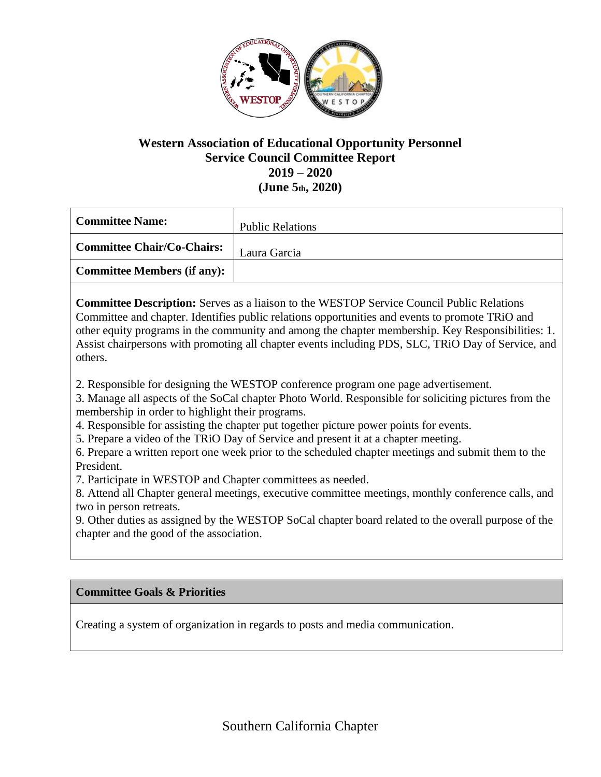

## **Western Association of Educational Opportunity Personnel Service Council Committee Report 2019 – 2020 (June 5th, 2020)**

| <b>Committee Name:</b>             | <b>Public Relations</b> |
|------------------------------------|-------------------------|
| <b>Committee Chair/Co-Chairs:</b>  | Laura Garcia            |
| <b>Committee Members (if any):</b> |                         |

**Committee Description:** Serves as a liaison to the WESTOP Service Council Public Relations Committee and chapter. Identifies public relations opportunities and events to promote TRiO and other equity programs in the community and among the chapter membership. Key Responsibilities: 1. Assist chairpersons with promoting all chapter events including PDS, SLC, TRiO Day of Service, and others.

2. Responsible for designing the WESTOP conference program one page advertisement.

3. Manage all aspects of the SoCal chapter Photo World. Responsible for soliciting pictures from the membership in order to highlight their programs.

4. Responsible for assisting the chapter put together picture power points for events.

5. Prepare a video of the TRiO Day of Service and present it at a chapter meeting.

6. Prepare a written report one week prior to the scheduled chapter meetings and submit them to the President.

7. Participate in WESTOP and Chapter committees as needed.

8. Attend all Chapter general meetings, executive committee meetings, monthly conference calls, and two in person retreats.

9. Other duties as assigned by the WESTOP SoCal chapter board related to the overall purpose of the chapter and the good of the association.

## **Committee Goals & Priorities**

Creating a system of organization in regards to posts and media communication.